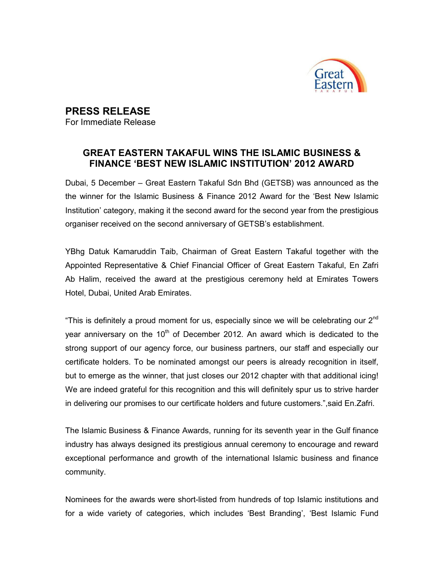

## PRESS RELEASE

For Immediate Release

## GREAT EASTERN TAKAFUL WINS THE ISLAMIC BUSINESS & FINANCE 'BEST NEW ISLAMIC INSTITUTION' 2012 AWARD

Dubai, 5 December – Great Eastern Takaful Sdn Bhd (GETSB) was announced as the the winner for the Islamic Business & Finance 2012 Award for the 'Best New Islamic Institution' category, making it the second award for the second year from the prestigious organiser received on the second anniversary of GETSB's establishment.

YBhg Datuk Kamaruddin Taib, Chairman of Great Eastern Takaful together with the Appointed Representative & Chief Financial Officer of Great Eastern Takaful, En Zafri Ab Halim, received the award at the prestigious ceremony held at Emirates Towers Hotel, Dubai, United Arab Emirates.

"This is definitely a proud moment for us, especially since we will be celebrating our  $2^{nd}$ year anniversary on the  $10<sup>th</sup>$  of December 2012. An award which is dedicated to the strong support of our agency force, our business partners, our staff and especially our certificate holders. To be nominated amongst our peers is already recognition in itself, but to emerge as the winner, that just closes our 2012 chapter with that additional icing! We are indeed grateful for this recognition and this will definitely spur us to strive harder in delivering our promises to our certificate holders and future customers.",said En.Zafri.

The Islamic Business & Finance Awards, running for its seventh year in the Gulf finance industry has always designed its prestigious annual ceremony to encourage and reward exceptional performance and growth of the international Islamic business and finance community.

Nominees for the awards were short-listed from hundreds of top Islamic institutions and for a wide variety of categories, which includes 'Best Branding', 'Best Islamic Fund